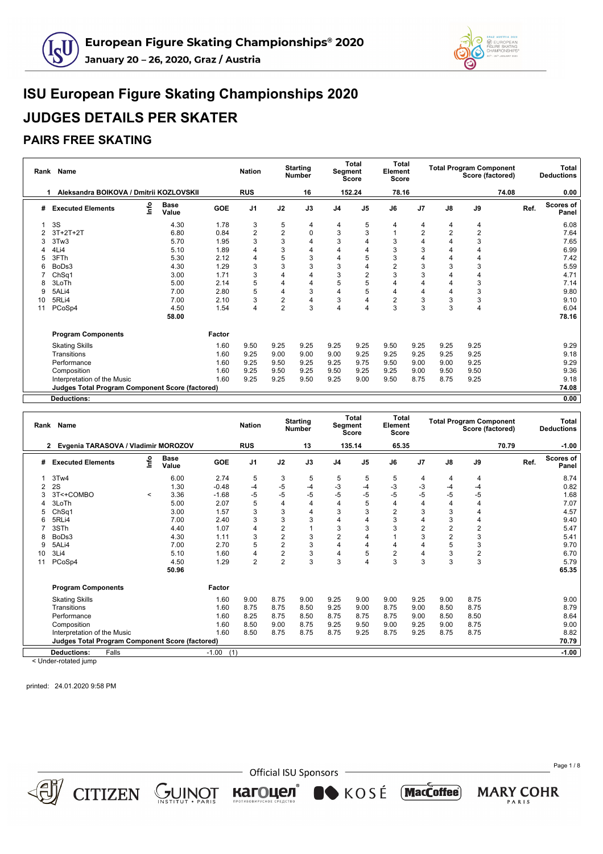



#### **PAIRS FREE SKATING**

|    | Rank Name                                              |    |                      |        | <b>Nation</b>  |                | <b>Starting</b><br><b>Number</b> | Segment        | Total<br>Score | <b>Total</b><br>Element<br><b>Score</b> |                |                | <b>Total Program Component</b><br>Score (factored) |       | Total<br><b>Deductions</b>        |
|----|--------------------------------------------------------|----|----------------------|--------|----------------|----------------|----------------------------------|----------------|----------------|-----------------------------------------|----------------|----------------|----------------------------------------------------|-------|-----------------------------------|
| 1  | Aleksandra BOIKOVA / Dmitrii KOZLOVSKII                |    |                      |        | <b>RUS</b>     |                | 16                               |                | 152.24         | 78.16                                   |                |                |                                                    | 74.08 | 0.00                              |
| #  | <b>Executed Elements</b>                               | ۴ů | <b>Base</b><br>Value | GOE    | J1             | J2             | J3                               | J <sub>4</sub> | J <sub>5</sub> | J6                                      | J7             | J8             | J9                                                 |       | <b>Scores of</b><br>Ref.<br>Panel |
|    | 3S                                                     |    | 4.30                 | 1.78   | 3              | 5              | 4                                | 4              | 5              | 4                                       | 4              | 4              | 4                                                  |       | 6.08                              |
|    | $3T+2T+2T$                                             |    | 6.80                 | 0.84   | $\overline{2}$ | $\overline{2}$ | 0                                | 3              | 3              |                                         | $\overline{2}$ | $\overline{2}$ | $\overline{2}$                                     |       | 7.64                              |
|    | 3Tw3                                                   |    | 5.70                 | 1.95   | 3              | 3              | 4                                | 3              | 4              | 3                                       | 4              | 4              | 3                                                  |       | 7.65                              |
|    | 4Li4                                                   |    | 5.10                 | 1.89   | 4              | 3              | 4                                | 4              | 4              | 3                                       | 3              |                |                                                    |       | 6.99                              |
|    | 3FTh                                                   |    | 5.30                 | 2.12   | 4              | 5              | 3                                | 4              | 5              | 3                                       | 4              | 4              | 4                                                  |       | 7.42                              |
| 6  | BoDs3                                                  |    | 4.30                 | 1.29   | 3              | 3              | 3                                | 3              | 4              | $\overline{2}$                          | 3              | 3              | 3                                                  |       | 5.59                              |
|    | ChSq1                                                  |    | 3.00                 | 1.71   | 3              | 4              | 4                                | 3              | $\overline{2}$ | 3                                       | 3              | 4              | 4                                                  |       | 4.71                              |
| 8  | 3LoTh                                                  |    | 5.00                 | 2.14   | 5              | 4              | 4                                | 5              | 5              | 4                                       | 4              | 4              | 3                                                  |       | 7.14                              |
| 9  | 5ALi4                                                  |    | 7.00                 | 2.80   | 5              | 4              | 3                                | 4              | 5              | 4                                       | 4              | 4              | 3                                                  |       | 9.80                              |
| 10 | 5RLi4                                                  |    | 7.00                 | 2.10   | 3              | $\overline{2}$ | 4                                | 3              | 4              | $\overline{2}$                          | 3              | 3              | 3                                                  |       | 9.10                              |
| 11 | PCoSp4                                                 |    | 4.50                 | 1.54   | 4              | $\overline{2}$ | 3                                | 4              | 4              | 3                                       | 3              | 3              | 4                                                  |       | 6.04                              |
|    |                                                        |    | 58.00                |        |                |                |                                  |                |                |                                         |                |                |                                                    |       | 78.16                             |
|    | <b>Program Components</b>                              |    |                      | Factor |                |                |                                  |                |                |                                         |                |                |                                                    |       |                                   |
|    | <b>Skating Skills</b>                                  |    |                      | 1.60   | 9.50           | 9.25           | 9.25                             | 9.25           | 9.25           | 9.50                                    | 9.25           | 9.25           | 9.25                                               |       | 9.29                              |
|    | Transitions                                            |    |                      | 1.60   | 9.25           | 9.00           | 9.00                             | 9.00           | 9.25           | 9.25                                    | 9.25           | 9.25           | 9.25                                               |       | 9.18                              |
|    | Performance                                            |    |                      | 1.60   | 9.25           | 9.50           | 9.25                             | 9.25           | 9.75           | 9.50                                    | 9.00           | 9.00           | 9.25                                               |       | 9.29                              |
|    | Composition                                            |    |                      | 1.60   | 9.25           | 9.50           | 9.25                             | 9.50           | 9.25           | 9.25                                    | 9.00           | 9.50           | 9.50                                               |       | 9.36                              |
|    | Interpretation of the Music                            |    |                      | 1.60   | 9.25           | 9.25           | 9.50                             | 9.25           | 9.00           | 9.50                                    | 8.75           | 8.75           | 9.25                                               |       | 9.18                              |
|    | <b>Judges Total Program Component Score (factored)</b> |    |                      |        |                |                |                                  |                |                |                                         |                |                |                                                    |       | 74.08                             |
|    | Doductions:                                            |    |                      |        |                |                |                                  |                |                |                                         |                |                |                                                    |       | 0.00                              |

**Deductions: 0.00 Rank Name Nation Starting Number Total Segment Score Total Element Score Total Program Component Score (factored) Total Deductions 2 Evgenia TARASOVA / Vladimir MOROZOV RUS 13 135.14 65.35 70.79 -1.00 # Executed Elements Info Base Value GOE J1 J2 J3 J4 J5 J6 J7 J8 J9 Ref. Scores of Panel** 1 3Tw4 6.00 2.74 5 3 5 5 5 5 4 4 4 8.74 2 2S 1.30 -0.48 -4 -5 -4 -3 -4 -3 -3 -4 -4 0.82 3 3T<+COMBO <sup>&</sup>lt; 3.36 -1.68 -5 -5 -5 -5 -5 -5 -5 -5 -5 1.68 4 3LoTh 5.00 2.07 5 4 4 4 5 4 4 4 4 7.07 5 ChSq1 3.00 1.57 3 3 4 3 3 2 3 3 4 4.57 6 5RLi4 7.00 2.40 3 3 3 4 4 3 4 3 4 9.40 7 3STh 4.40 1.07 4 2 1 3 3 3 2 2 2 5.47 8 BoDs3 4.30 1.11 3 2 3 2 4 1 3 2 3 5.41 9 5ALi4 7.00 2.70 5 2 3 4 4 4 4 5 3 9.70 10 3Li4 5.10 1.60 4 2 3 4 5 2 4 3 2 6.70 11 PCoSp4 4.50 1.29 2 2 3 3 4 3 3 3 3 5.79 **50.96 65.35 Program Components Factor** Skating Skills 1.60 9.00 8.75 9.00 9.25 9.00 9.00 9.25 9.00 8.75 9.00 Transitions 1.60 8.75 8.75 8.50 9.25 9.00 8.75 9.00 8.50 8.75 8.79 Performance 1.60 8.25 8.75 8.50 8.75 8.75 8.75 9.00 8.50 8.50 8.64 Composition 1.60 8.50 9.00 8.75 9.25 9.50 9.00 9.25 9.00 8.75 9.00 Interpretation of the Music 1.60 8.50 8.75 8.75 8.75 9.25 8.75 9.25 8.75 8.75 8.82 **Judges Total Program Component Score (factored) 70.79 Deductions:** Falls -1.00 (1) **-1.00** < Under-rotated jump

printed: 24.01.2020 9:58 PM

**CITIZEN** 



**Official ISU Sponsors** 

 $\bullet$  KOSÉ

**MacCoffee** 

кагоцел

GUINOT

Page 1 / 8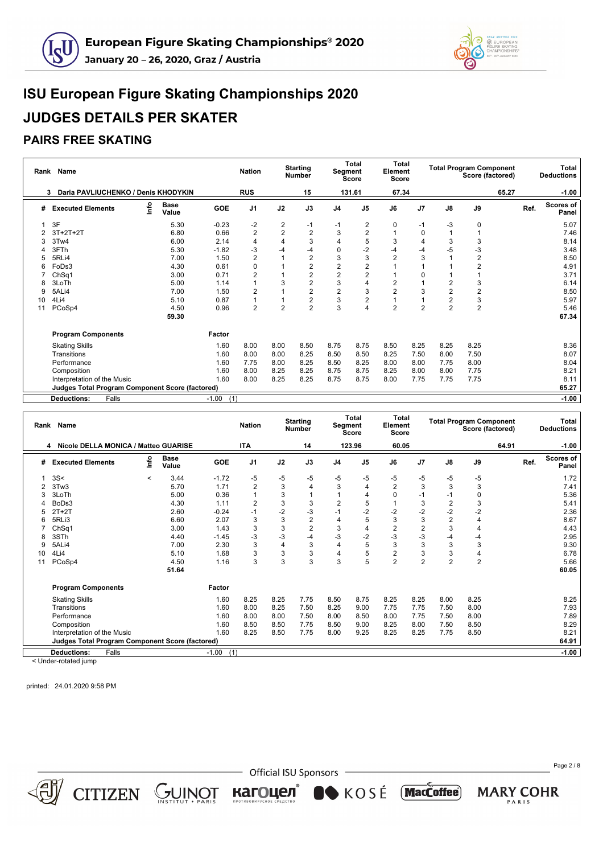



### **PAIRS FREE SKATING**

|    | Rank Name                                              |    |                      |                | <b>Nation</b>  |                | <b>Starting</b><br><b>Number</b> | Segment        | <b>Total</b><br>Score | <b>Total</b><br>Element<br>Score |                |                | <b>Total Program Component</b><br>Score (factored) |      | Total<br><b>Deductions</b> |
|----|--------------------------------------------------------|----|----------------------|----------------|----------------|----------------|----------------------------------|----------------|-----------------------|----------------------------------|----------------|----------------|----------------------------------------------------|------|----------------------------|
|    | Daria PAVLIUCHENKO / Denis KHODYKIN<br>3               |    |                      |                | <b>RUS</b>     |                | 15                               |                | 131.61                | 67.34                            |                |                | 65.27                                              |      | $-1.00$                    |
| #  | <b>Executed Elements</b>                               | ۴ů | <b>Base</b><br>Value | GOE            | J <sub>1</sub> | J2             | J3                               | J <sub>4</sub> | J <sub>5</sub>        | J6                               | J <sub>7</sub> | J8             | J9                                                 | Ref. | <b>Scores of</b><br>Panel  |
|    | 3F                                                     |    | 5.30                 | $-0.23$        | $-2$           | 2              | -1                               | -1             | 2                     | $\mathbf 0$                      | -1             | -3             | 0                                                  |      | 5.07                       |
|    | $3T+2T+2T$                                             |    | 6.80                 | 0.66           | $\overline{2}$ | 2              | $\overline{2}$                   | 3              | $\overline{2}$        |                                  | 0              |                |                                                    |      | 7.46                       |
| З  | 3Tw4                                                   |    | 6.00                 | 2.14           | 4              | $\overline{4}$ | 3                                | 4              | 5                     | 3                                | 4              | 3              | 3                                                  |      | 8.14                       |
|    | 3FTh                                                   |    | 5.30                 | $-1.82$        | -3             | $-4$           | -4                               | $\mathbf 0$    | $-2$                  | $-4$                             | -4             | -5             | -3                                                 |      | 3.48                       |
| 5  | 5RLi4                                                  |    | 7.00                 | 1.50           | $\overline{2}$ |                | $\overline{\mathbf{c}}$          | 3              | 3                     | $\overline{2}$                   | 3              |                | $\overline{2}$                                     |      | 8.50                       |
| 6  | FoDs3                                                  |    | 4.30                 | 0.61           | 0              |                | $\overline{c}$                   | $\overline{c}$ | $\overline{2}$        | и                                |                |                | $\overline{2}$                                     |      | 4.91                       |
|    | ChSq1                                                  |    | 3.00                 | 0.71           | $\overline{2}$ | 1              | $\overline{\mathbf{c}}$          | $\overline{2}$ | $\overline{2}$        | 1                                | 0              |                |                                                    |      | 3.71                       |
| 8  | 3LoTh                                                  |    | 5.00                 | 1.14           |                | 3              | $\overline{\mathbf{c}}$          | 3              | 4                     | 2                                |                | 2              | 3                                                  |      | 6.14                       |
| 9  | 5ALi4                                                  |    | 7.00                 | 1.50           | $\overline{2}$ | 1              | $\overline{2}$                   | $\overline{2}$ | 3                     | $\overline{2}$                   | 3              | $\overline{2}$ | $\overline{2}$                                     |      | 8.50                       |
| 10 | 4Li4                                                   |    | 5.10                 | 0.87           |                |                | $\overline{2}$                   | 3              | $\overline{2}$        | 1                                |                | $\overline{2}$ | 3                                                  |      | 5.97                       |
| 11 | PCoSp4                                                 |    | 4.50                 | 0.96           | $\overline{2}$ | $\overline{2}$ | $\overline{2}$                   | 3              | 4                     | $\overline{2}$                   | $\overline{2}$ | $\overline{2}$ | $\overline{2}$                                     |      | 5.46                       |
|    |                                                        |    | 59.30                |                |                |                |                                  |                |                       |                                  |                |                |                                                    |      | 67.34                      |
|    | <b>Program Components</b>                              |    |                      | Factor         |                |                |                                  |                |                       |                                  |                |                |                                                    |      |                            |
|    | <b>Skating Skills</b>                                  |    |                      | 1.60           | 8.00           | 8.00           | 8.50                             | 8.75           | 8.75                  | 8.50                             | 8.25           | 8.25           | 8.25                                               |      | 8.36                       |
|    | Transitions                                            |    |                      | 1.60           | 8.00           | 8.00           | 8.25                             | 8.50           | 8.50                  | 8.25                             | 7.50           | 8.00           | 7.50                                               |      | 8.07                       |
|    | Performance                                            |    |                      | 1.60           | 7.75           | 8.00           | 8.25                             | 8.50           | 8.25                  | 8.00                             | 8.00           | 7.75           | 8.00                                               |      | 8.04                       |
|    | Composition                                            |    |                      | 1.60           | 8.00           | 8.25           | 8.25                             | 8.75           | 8.75                  | 8.25                             | 8.00           | 8.00           | 7.75                                               |      | 8.21                       |
|    | Interpretation of the Music                            |    |                      | 1.60           | 8.00           | 8.25           | 8.25                             | 8.75           | 8.75                  | 8.00                             | 7.75           | 7.75           | 7.75                                               |      | 8.11                       |
|    | <b>Judges Total Program Component Score (factored)</b> |    |                      |                |                |                |                                  |                |                       |                                  |                |                |                                                    |      | 65.27                      |
|    | Falls<br><b>Deductions:</b>                            |    |                      | (1)<br>$-1.00$ |                |                |                                  |                |                       |                                  |                |                |                                                    |      | $-1.00$                    |

|    | Rank Name                                              |                          |                      |                | <b>Nation</b>  |                | <b>Starting</b><br><b>Number</b> |                | <b>Total</b><br>Segment<br>Score | <b>Total</b><br>Element<br>Score |                |                | <b>Total Program Component</b><br>Score (factored) |      | <b>Total</b><br><b>Deductions</b> |
|----|--------------------------------------------------------|--------------------------|----------------------|----------------|----------------|----------------|----------------------------------|----------------|----------------------------------|----------------------------------|----------------|----------------|----------------------------------------------------|------|-----------------------------------|
| 4  | Nicole DELLA MONICA / Matteo GUARISE                   |                          |                      |                | <b>ITA</b>     |                | 14                               |                | 123.96                           | 60.05                            |                |                | 64.91                                              |      | $-1.00$                           |
| #  | <b>Executed Elements</b>                               | ۴o                       | <b>Base</b><br>Value | <b>GOE</b>     | J <sub>1</sub> | J2             | J3                               | J <sub>4</sub> | J <sub>5</sub>                   | J6                               | J7             | J8             | J9                                                 | Ref. | <b>Scores of</b><br>Panel         |
|    | 3S<                                                    | $\overline{\phantom{a}}$ | 3.44                 | $-1.72$        | -5             | -5             | $-5$                             | $-5$           | $-5$                             | $-5$                             | -5             | -5             | -5                                                 |      | 1.72                              |
|    | 3Tw3                                                   |                          | 5.70                 | 1.71           | $\overline{2}$ | 3              | 4                                | 3              | 4                                | $\overline{2}$                   | 3              | 3              | 3                                                  |      | 7.41                              |
|    | 3LoTh                                                  |                          | 5.00                 | 0.36           |                | 3              |                                  | 1              | 4                                | 0                                | $-1$           | $-1$           | 0                                                  |      | 5.36                              |
|    | BoDs3                                                  |                          | 4.30                 | 1.11           | $\overline{2}$ | 3              | 3                                | $\overline{c}$ | 5                                |                                  | 3              | $\overline{2}$ | 3                                                  |      | 5.41                              |
|    | $2T+2T$                                                |                          | 2.60                 | $-0.24$        | $-1$           | $-2$           | $-3$                             | $-1$           | $-2$                             | $-2$                             | $-2$           | $-2$           | $-2$                                               |      | 2.36                              |
|    | 5RLi3                                                  |                          | 6.60                 | 2.07           | 3              | 3              | $\overline{2}$                   | 4              | 5                                | 3                                | 3              | $\overline{2}$ | 4                                                  |      | 8.67                              |
|    | ChSq1                                                  |                          | 3.00                 | 1.43           | 3              | 3              | $\overline{2}$                   | 3              | 4                                | $\overline{2}$                   | $\overline{c}$ | 3              | 4                                                  |      | 4.43                              |
| 8  | 3STh                                                   |                          | 4.40                 | $-1.45$        | $-3$           | -3             | -4                               | $-3$           | $-2$                             | $-3$                             | $-3$           | -4             | $-4$                                               |      | 2.95                              |
|    | 5ALi4                                                  |                          | 7.00                 | 2.30           | 3              | $\overline{4}$ | 3                                | 4              | 5                                | 3                                | 3              | 3              | 3                                                  |      | 9.30                              |
| 10 | 4Li4                                                   |                          | 5.10                 | 1.68           | 3              | 3              | 3                                | 4              | 5                                | $\overline{2}$                   | 3              | 3              | 4                                                  |      | 6.78                              |
| 11 | PCoSp4                                                 |                          | 4.50                 | 1.16           | 3              | 3              | 3                                | 3              | 5                                | $\overline{2}$                   | $\overline{2}$ | $\overline{2}$ | 2                                                  |      | 5.66                              |
|    |                                                        |                          | 51.64                |                |                |                |                                  |                |                                  |                                  |                |                |                                                    |      | 60.05                             |
|    | <b>Program Components</b>                              |                          |                      | Factor         |                |                |                                  |                |                                  |                                  |                |                |                                                    |      |                                   |
|    | <b>Skating Skills</b>                                  |                          |                      | 1.60           | 8.25           | 8.25           | 7.75                             | 8.50           | 8.75                             | 8.25                             | 8.25           | 8.00           | 8.25                                               |      | 8.25                              |
|    | Transitions                                            |                          |                      | 1.60           | 8.00           | 8.25           | 7.50                             | 8.25           | 9.00                             | 7.75                             | 7.75           | 7.50           | 8.00                                               |      | 7.93                              |
|    | Performance                                            |                          |                      | 1.60           | 8.00           | 8.00           | 7.50                             | 8.00           | 8.50                             | 8.00                             | 7.75           | 7.50           | 8.00                                               |      | 7.89                              |
|    | Composition                                            |                          |                      | 1.60           | 8.50           | 8.50           | 7.75                             | 8.50           | 9.00                             | 8.25                             | 8.00           | 7.50           | 8.50                                               |      | 8.29                              |
|    | Interpretation of the Music                            |                          |                      | 1.60           | 8.25           | 8.50           | 7.75                             | 8.00           | 9.25                             | 8.25                             | 8.25           | 7.75           | 8.50                                               |      | 8.21                              |
|    | <b>Judges Total Program Component Score (factored)</b> |                          |                      |                |                |                |                                  |                |                                  |                                  |                |                |                                                    |      | 64.91                             |
|    | Falls<br><b>Deductions:</b>                            |                          |                      | $-1.00$<br>(1) |                |                |                                  |                |                                  |                                  |                |                |                                                    |      | $-1.00$                           |

< Under-rotated jump

printed: 24.01.2020 9:58 PM

 $CITIZEN \simeq \bigcup_{\text{NSTITUT}} \text{NISTITUT}$ 



KOSÉ MacCoffee

кагоцел®

Page 2 / 8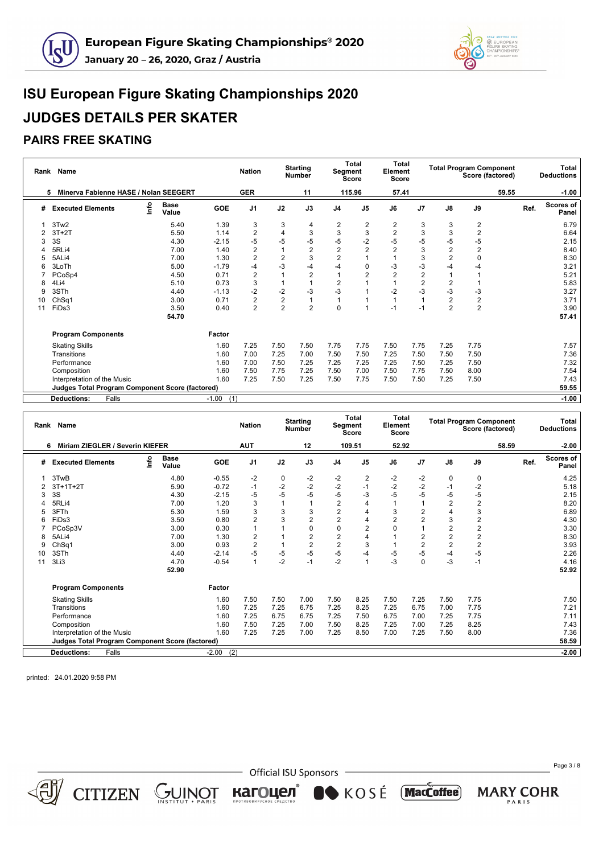



## **PAIRS FREE SKATING**

|    | Rank Name                                              |      |                      |                | <b>Nation</b>  |                | <b>Starting</b><br><b>Number</b> |                         | <b>Total</b><br><b>Segment</b><br><b>Score</b> | Total<br>Element<br>Score |                         |                | <b>Total Program Component</b><br>Score (factored) |       | Total<br><b>Deductions</b>        |
|----|--------------------------------------------------------|------|----------------------|----------------|----------------|----------------|----------------------------------|-------------------------|------------------------------------------------|---------------------------|-------------------------|----------------|----------------------------------------------------|-------|-----------------------------------|
|    | Minerva Fabienne HASE / Nolan SEEGERT<br>5             |      |                      |                | <b>GER</b>     |                | 11                               |                         | 115.96                                         | 57.41                     |                         |                |                                                    | 59.55 | $-1.00$                           |
| #  | <b>Executed Elements</b>                               | ١nfo | <b>Base</b><br>Value | <b>GOE</b>     | J <sub>1</sub> | J2             | J3                               | J <sub>4</sub>          | J <sub>5</sub>                                 | J6                        | J <sub>7</sub>          | $\mathsf{J}8$  | J9                                                 |       | <b>Scores of</b><br>Ref.<br>Panel |
|    | 3Tw2                                                   |      | 5.40                 | 1.39           | 3              | 3              | 4                                | 2                       | 2                                              | 2                         | 3                       | 3              | 2                                                  |       | 6.79                              |
|    | $3T+2T$                                                |      | 5.50                 | 1.14           | $\overline{2}$ | 4              | 3                                | 3                       | 3                                              | $\overline{2}$            | 3                       | 3              | $\overline{2}$                                     |       | 6.64                              |
|    | 3S                                                     |      | 4.30                 | $-2.15$        | $-5$           | $-5$           | $-5$                             | $-5$                    | $-2$                                           | $-5$                      | $-5$                    | $-5$           | $-5$                                               |       | 2.15                              |
|    | 5RLi4                                                  |      | 7.00                 | 1.40           | $\overline{2}$ |                | $\overline{\mathbf{c}}$          | $\overline{\mathbf{c}}$ | $\overline{2}$                                 | 2                         | 3                       | 2              | $\overline{2}$                                     |       | 8.40                              |
|    | 5ALi4                                                  |      | 7.00                 | 1.30           | $\overline{2}$ | 2              | 3                                | $\overline{c}$          |                                                |                           | 3                       | $\overline{c}$ | $\Omega$                                           |       | 8.30                              |
|    | 3LoTh                                                  |      | 5.00                 | $-1.79$        | -4             | $-3$           | -4                               | $-4$                    | $\Omega$                                       | -3                        | -3                      | $-4$           | $-4$                                               |       | 3.21                              |
|    | PCoSp4                                                 |      | 4.50                 | 0.71           | $\overline{2}$ |                | $\boldsymbol{2}$                 |                         | $\overline{2}$                                 | 2                         | $\overline{\mathbf{c}}$ |                |                                                    |       | 5.21                              |
| 8  | 4Li4                                                   |      | 5.10                 | 0.73           | 3              |                |                                  | $\overline{2}$          |                                                |                           | $\overline{2}$          | 2              |                                                    |       | 5.83                              |
| 9  | 3STh                                                   |      | 4.40                 | $-1.13$        | $-2$           | $-2$           | -3                               | $-3$                    |                                                | $-2$                      | $-3$                    | $-3$           | $-3$                                               |       | 3.27                              |
| 10 | Ch <sub>Sq1</sub>                                      |      | 3.00                 | 0.71           | $\overline{2}$ | $\overline{c}$ |                                  |                         |                                                |                           |                         | $\overline{2}$ | $\overline{c}$                                     |       | 3.71                              |
| 11 | FiDs3                                                  |      | 3.50                 | 0.40           | $\overline{2}$ | $\overline{2}$ | $\overline{2}$                   | $\mathbf 0$             |                                                | $-1$                      | $-1$                    | $\overline{2}$ | $\overline{2}$                                     |       | 3.90                              |
|    |                                                        |      | 54.70                |                |                |                |                                  |                         |                                                |                           |                         |                |                                                    |       | 57.41                             |
|    | <b>Program Components</b>                              |      |                      | Factor         |                |                |                                  |                         |                                                |                           |                         |                |                                                    |       |                                   |
|    | <b>Skating Skills</b>                                  |      |                      | 1.60           | 7.25           | 7.50           | 7.50                             | 7.75                    | 7.75                                           | 7.50                      | 7.75                    | 7.25           | 7.75                                               |       | 7.57                              |
|    | Transitions                                            |      |                      | 1.60           | 7.00           | 7.25           | 7.00                             | 7.50                    | 7.50                                           | 7.25                      | 7.50                    | 7.50           | 7.50                                               |       | 7.36                              |
|    | Performance                                            |      |                      | 1.60           | 7.00           | 7.50           | 7.25                             | 7.25                    | 7.25                                           | 7.25                      | 7.50                    | 7.25           | 7.50                                               |       | 7.32                              |
|    | Composition                                            |      |                      | 1.60           | 7.50           | 7.75           | 7.25                             | 7.50                    | 7.00                                           | 7.50                      | 7.75                    | 7.50           | 8.00                                               |       | 7.54                              |
|    | Interpretation of the Music                            |      |                      | 1.60           | 7.25           | 7.50           | 7.25                             | 7.50                    | 7.75                                           | 7.50                      | 7.50                    | 7.25           | 7.50                                               |       | 7.43                              |
|    | <b>Judges Total Program Component Score (factored)</b> |      |                      |                |                |                |                                  |                         |                                                |                           |                         |                | 59.55                                              |       |                                   |
|    | Falls<br><b>Deductions:</b>                            |      |                      | (1)<br>$-1.00$ |                |                |                                  |                         |                                                |                           |                         |                |                                                    |       | $-1.00$                           |

|    | Rank Name                                       |      |                      |                | <b>Nation</b>  |      | <b>Starting</b><br><b>Number</b> |                | <b>Total</b><br>Segment<br>Score | Total<br>Element<br><b>Score</b> |                |                | <b>Total Program Component</b><br>Score (factored) |       | <b>Total</b><br><b>Deductions</b> |
|----|-------------------------------------------------|------|----------------------|----------------|----------------|------|----------------------------------|----------------|----------------------------------|----------------------------------|----------------|----------------|----------------------------------------------------|-------|-----------------------------------|
|    | Miriam ZIEGLER / Severin KIEFER<br>6            |      |                      |                | <b>AUT</b>     |      | 12                               |                | 109.51                           | 52.92                            |                |                |                                                    | 58.59 | $-2.00$                           |
| #  | <b>Executed Elements</b>                        | ١nfo | <b>Base</b><br>Value | <b>GOE</b>     | J <sub>1</sub> | J2   | J3                               | J <sub>4</sub> | J <sub>5</sub>                   | J6                               | J7             | J8             | J9                                                 | Ref.  | <b>Scores of</b><br>Panel         |
|    | 3TwB                                            |      | 4.80                 | $-0.55$        | -2             | 0    | $-2$                             | -2             | 2                                | $-2$                             | $-2$           | 0              | 0                                                  |       | 4.25                              |
|    | $3T+1T+2T$                                      |      | 5.90                 | $-0.72$        | $-1$           | $-2$ | $-2$                             | $-2$           | $-1$                             | $-2$                             | $-2$           | $-1$           | $-2$                                               |       | 5.18                              |
|    | 3S                                              |      | 4.30                 | $-2.15$        | -5             | -5   | $-5$                             | $-5$           | $-3$                             | $-5$                             | $-5$           | $-5$           | $-5$                                               |       | 2.15                              |
|    | 5RLi4                                           |      | 7.00                 | 1.20           | 3              |      | $\overline{1}$                   | $\overline{c}$ | 4                                | $\overline{1}$                   |                | $\overline{2}$ | 2                                                  |       | 8.20                              |
|    | 3FTh                                            |      | 5.30                 | 1.59           | 3              | 3    | 3                                | $\overline{2}$ | 4                                | 3                                | 2              | $\overline{4}$ | 3                                                  |       | 6.89                              |
|    | FiDs3                                           |      | 3.50                 | 0.80           | $\overline{2}$ | 3    | $\overline{c}$                   | $\overline{c}$ | 4                                | $\overline{2}$                   | 2              | 3              | 2                                                  |       | 4.30                              |
|    | PCoSp3V                                         |      | 3.00                 | 0.30           |                |      | 0                                | 0              | $\overline{2}$                   | 0                                |                | $\overline{2}$ | 2                                                  |       | 3.30                              |
|    | 5ALi4                                           |      | 7.00                 | 1.30           | $\overline{2}$ |      | $\overline{2}$                   | $\overline{2}$ | 4                                |                                  | $\overline{2}$ | $\overline{2}$ | $\overline{2}$                                     |       | 8.30                              |
| g  | ChSq1                                           |      | 3.00                 | 0.93           | $\overline{2}$ |      | $\overline{2}$                   | $\overline{2}$ | 3                                |                                  | $\overline{2}$ | $\overline{2}$ | $\overline{2}$                                     |       | 3.93                              |
| 10 | 3STh                                            |      | 4.40                 | $-2.14$        | -5             | $-5$ | $-5$                             | $-5$           | $-4$                             | -5                               | $-5$           | $-4$           | $-5$                                               |       | 2.26                              |
| 11 | 3Li3                                            |      | 4.70                 | $-0.54$        | $\mathbf{1}$   | $-2$ | $-1$                             | $-2$           | $\overline{1}$                   | $-3$                             | 0              | $-3$           | $-1$                                               |       | 4.16                              |
|    |                                                 |      | 52.90                |                |                |      |                                  |                |                                  |                                  |                |                |                                                    |       | 52.92                             |
|    | <b>Program Components</b>                       |      |                      | Factor         |                |      |                                  |                |                                  |                                  |                |                |                                                    |       |                                   |
|    | <b>Skating Skills</b>                           |      |                      | 1.60           | 7.50           | 7.50 | 7.00                             | 7.50           | 8.25                             | 7.50                             | 7.25           | 7.50           | 7.75                                               |       | 7.50                              |
|    | Transitions                                     |      |                      | 1.60           | 7.25           | 7.25 | 6.75                             | 7.25           | 8.25                             | 7.25                             | 6.75           | 7.00           | 7.75                                               |       | 7.21                              |
|    | Performance                                     |      |                      | 1.60           | 7.25           | 6.75 | 6.75                             | 7.25           | 7.50                             | 6.75                             | 7.00           | 7.25           | 7.75                                               |       | 7.11                              |
|    | Composition                                     |      |                      | 1.60           | 7.50           | 7.25 | 7.00                             | 7.50           | 8.25                             | 7.25                             | 7.00           | 7.25           | 8.25                                               |       | 7.43                              |
|    | Interpretation of the Music                     |      |                      | 1.60           | 7.25           | 7.25 | 7.00                             | 7.25           | 8.50                             | 7.00                             | 7.25           | 7.50           | 8.00                                               |       | 7.36                              |
|    | Judges Total Program Component Score (factored) |      |                      |                |                |      |                                  |                |                                  |                                  |                |                |                                                    |       | 58.59                             |
|    | Falls<br><b>Deductions:</b>                     |      |                      | $-2.00$<br>(2) |                |      |                                  |                |                                  |                                  |                |                |                                                    |       | $-2.00$                           |

printed: 24.01.2020 9:58 PM

 $CITIZEN \simeq \bigcup_{\text{NS TITUT}} \text{NISTIUT}$ 

- Official ISU Sponsors

кагоцел®

KOSÉ MacCoffee

Page 3 / 8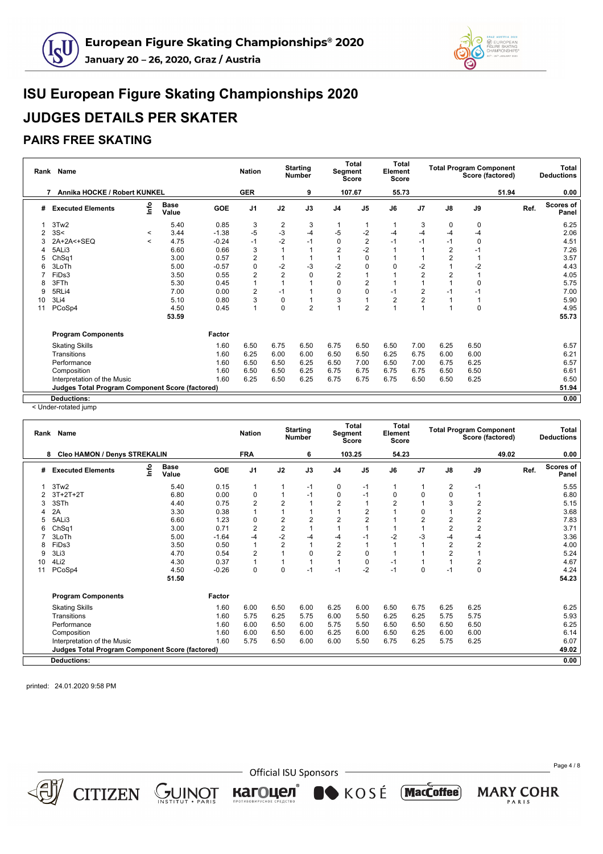



### **PAIRS FREE SKATING**

|    | Rank Name                                              |                          |                      |            | <b>Nation</b>  |                | <b>Starting</b><br><b>Number</b> | Segment        | <b>Total</b><br><b>Score</b> | Total<br>Element<br><b>Score</b> |                |                | <b>Total Program Component</b><br>Score (factored) |      | <b>Total</b><br><b>Deductions</b> |
|----|--------------------------------------------------------|--------------------------|----------------------|------------|----------------|----------------|----------------------------------|----------------|------------------------------|----------------------------------|----------------|----------------|----------------------------------------------------|------|-----------------------------------|
|    | Annika HOCKE / Robert KUNKEL<br>7                      |                          |                      |            | <b>GER</b>     |                | 9                                |                | 107.67                       | 55.73                            |                |                | 51.94                                              |      | 0.00                              |
| #  | <b>Executed Elements</b>                               | ١rf٥                     | <b>Base</b><br>Value | <b>GOE</b> | J <sub>1</sub> | J2             | J3                               | J <sub>4</sub> | J <sub>5</sub>               | J6                               | J7             | J8             | J9                                                 | Ref. | <b>Scores of</b><br>Panel         |
|    | 3Tw <sub>2</sub>                                       |                          | 5.40                 | 0.85       | 3              | 2              | 3                                | -1             |                              |                                  | 3              | 0              | 0                                                  |      | 6.25                              |
|    | 3S<                                                    | $\,<\,$                  | 3.44                 | $-1.38$    | $-5$           | $-3$           | $-4$                             | $-5$           | $-2$                         | -4                               | -4             | $-4$           | $-4$                                               |      | 2.06                              |
| 3  | 2A+2A<+SEQ                                             | $\overline{\phantom{a}}$ | 4.75                 | $-0.24$    | $-1$           | $-2$           | $-1$                             | $\mathbf 0$    | $\overline{2}$               | $-1$                             | $-1$           | $-1$           | 0                                                  |      | 4.51                              |
| 4  | 5ALi3                                                  |                          | 6.60                 | 0.66       | 3              |                |                                  | $\overline{2}$ | $-2$                         |                                  |                | $\overline{2}$ | $-1$                                               |      | 7.26                              |
| 5  | Ch <sub>Sq1</sub>                                      |                          | 3.00                 | 0.57       | $\overline{2}$ |                |                                  |                | $\mathbf 0$                  |                                  |                | $\overline{2}$ |                                                    |      | 3.57                              |
| 6  | 3LoTh                                                  |                          | 5.00                 | $-0.57$    | $\Omega$       | $-2$           | $-3$                             | $-2$           | 0                            | $\Omega$                         | $-2$           |                | $-2$                                               |      | 4.43                              |
|    | FiDs3                                                  |                          | 3.50                 | 0.55       | $\overline{2}$ | $\overline{2}$ | 0                                | $\overline{2}$ |                              |                                  | $\overline{2}$ | 2              |                                                    |      | 4.05                              |
| 8  | 3FTh                                                   |                          | 5.30                 | 0.45       |                |                |                                  | $\mathbf 0$    | 2                            |                                  |                |                | 0                                                  |      | 5.75                              |
| g  | 5RLi4                                                  |                          | 7.00                 | 0.00       | $\overline{2}$ | $-1$           |                                  | $\mathbf 0$    | 0                            | $-1$                             | 2              | $-1$           | $-1$                                               |      | 7.00                              |
| 10 | 3Li4                                                   |                          | 5.10                 | 0.80       | 3              | 0              |                                  | 3              |                              | $\overline{2}$                   | 2              |                |                                                    |      | 5.90                              |
| 11 | PCoSp4                                                 |                          | 4.50                 | 0.45       |                | $\mathbf 0$    | $\overline{2}$                   |                | $\overline{2}$               |                                  |                |                | 0                                                  |      | 4.95                              |
|    |                                                        |                          | 53.59                |            |                |                |                                  |                |                              |                                  |                |                |                                                    |      | 55.73                             |
|    | <b>Program Components</b>                              |                          |                      | Factor     |                |                |                                  |                |                              |                                  |                |                |                                                    |      |                                   |
|    | <b>Skating Skills</b>                                  |                          |                      | 1.60       | 6.50           | 6.75           | 6.50                             | 6.75           | 6.50                         | 6.50                             | 7.00           | 6.25           | 6.50                                               |      | 6.57                              |
|    | Transitions                                            |                          |                      | 1.60       | 6.25           | 6.00           | 6.00                             | 6.50           | 6.50                         | 6.25                             | 6.75           | 6.00           | 6.00                                               |      | 6.21                              |
|    | Performance                                            |                          |                      | 1.60       | 6.50           | 6.50           | 6.25                             | 6.50           | 7.00                         | 6.50                             | 7.00           | 6.75           | 6.25                                               |      | 6.57                              |
|    | Composition                                            |                          |                      | 1.60       | 6.50           | 6.50           | 6.25                             | 6.75           | 6.75                         | 6.75                             | 6.75           | 6.50           | 6.50                                               |      | 6.61                              |
|    | Interpretation of the Music                            |                          |                      | 1.60       | 6.25           | 6.50           | 6.25                             | 6.75           | 6.75                         | 6.75                             | 6.50           | 6.50           | 6.25                                               |      | 6.50                              |
|    | <b>Judges Total Program Component Score (factored)</b> |                          |                      |            |                |                |                                  |                |                              |                                  |                |                |                                                    |      | 51.94                             |
|    | <b>Deductions:</b>                                     |                          |                      |            |                |                |                                  |                |                              |                                  |                |                |                                                    |      | 0.00                              |

< Under-rotated jump

|    | Rank Name                                       |    |                      |         | <b>Nation</b>  |                         | <b>Starting</b><br><b>Number</b> |                | <b>Total</b><br>Segment<br><b>Score</b> | <b>Total</b><br>Element<br><b>Score</b> |                |      | <b>Total Program Component</b><br>Score (factored) |       |      | <b>Total</b><br><b>Deductions</b> |
|----|-------------------------------------------------|----|----------------------|---------|----------------|-------------------------|----------------------------------|----------------|-----------------------------------------|-----------------------------------------|----------------|------|----------------------------------------------------|-------|------|-----------------------------------|
|    | 8 Cleo HAMON / Denys STREKALIN                  |    |                      |         | <b>FRA</b>     |                         | 6                                |                | 103.25                                  | 54.23                                   |                |      |                                                    | 49.02 |      | 0.00                              |
| #  | <b>Executed Elements</b>                        | ۴٥ | <b>Base</b><br>Value | GOE     | J <sub>1</sub> | J2                      | J3                               | J <sub>4</sub> | J <sub>5</sub>                          | J6                                      | J7             | J8   | J9                                                 |       | Ref. | <b>Scores of</b><br>Panel         |
|    | 3Tw <sub>2</sub>                                |    | 5.40                 | 0.15    | 1              |                         | $-1$                             | 0              | -1                                      | 1                                       |                | 2    | $-1$                                               |       |      | 5.55                              |
|    | $3T+2T+2T$                                      |    | 6.80                 | 0.00    | $\Omega$       |                         | $-1$                             | 0              | $-1$                                    | 0                                       | 0              | 0    |                                                    |       |      | 6.80                              |
| 3  | 3STh                                            |    | 4.40                 | 0.75    | $\overline{2}$ | $\overline{2}$          | $\overline{1}$                   | $\overline{2}$ | $\overline{1}$                          | $\overline{2}$                          |                | 3    | $\overline{2}$                                     |       |      | 5.15                              |
|    | 2A                                              |    | 3.30                 | 0.38    |                |                         |                                  |                | $\overline{2}$                          |                                         | 0              |      | $\overline{c}$                                     |       |      | 3.68                              |
| 5  | 5ALi3                                           |    | 6.60                 | 1.23    | $\Omega$       | $\overline{\mathbf{c}}$ | $\overline{\mathbf{c}}$          | 2              | $\overline{2}$                          |                                         | $\overline{2}$ | 2    | $\overline{2}$                                     |       |      | 7.83                              |
| 6  | ChSq1                                           |    | 3.00                 | 0.71    | $\overline{2}$ | $\overline{\mathbf{c}}$ | 1                                |                |                                         |                                         |                | 2    | $\overline{2}$                                     |       |      | 3.71                              |
|    | 3LoTh                                           |    | 5.00                 | $-1.64$ | -4             | $-2$                    | $-4$                             | -4             | $-1$                                    | $-2$                                    | -3             | -4   | -4                                                 |       |      | 3.36                              |
| 8  | FiDs3                                           |    | 3.50                 | 0.50    |                | $\overline{2}$          | $\mathbf{1}$                     | $\overline{2}$ |                                         |                                         |                | 2    | $\overline{2}$                                     |       |      | 4.00                              |
| 9  | 3Li3                                            |    | 4.70                 | 0.54    | $\overline{2}$ |                         | $\mathbf 0$                      | $\overline{2}$ | $\mathbf 0$                             |                                         |                | 2    |                                                    |       |      | 5.24                              |
| 10 | 4Li2                                            |    | 4.30                 | 0.37    |                |                         | $\mathbf{1}$                     | $\mathbf{1}$   | 0                                       | $-1$                                    |                |      | $\overline{2}$                                     |       |      | 4.67                              |
| 11 | PCoSp4                                          |    | 4.50                 | $-0.26$ | $\Omega$       | $\Omega$                | $-1$                             | $-1$           | $-2$                                    | $-1$                                    | $\mathbf 0$    | -1   | $\mathbf 0$                                        |       |      | 4.24                              |
|    |                                                 |    | 51.50                |         |                |                         |                                  |                |                                         |                                         |                |      |                                                    |       |      | 54.23                             |
|    | <b>Program Components</b>                       |    |                      | Factor  |                |                         |                                  |                |                                         |                                         |                |      |                                                    |       |      |                                   |
|    | <b>Skating Skills</b>                           |    |                      | 1.60    | 6.00           | 6.50                    | 6.00                             | 6.25           | 6.00                                    | 6.50                                    | 6.75           | 6.25 | 6.25                                               |       |      | 6.25                              |
|    | Transitions                                     |    |                      | 1.60    | 5.75           | 6.25                    | 5.75                             | 6.00           | 5.50                                    | 6.25                                    | 6.25           | 5.75 | 5.75                                               |       |      | 5.93                              |
|    | Performance                                     |    |                      | 1.60    | 6.00           | 6.50                    | 6.00                             | 5.75           | 5.50                                    | 6.50                                    | 6.50           | 6.50 | 6.50                                               |       |      | 6.25                              |
|    | Composition                                     |    |                      | 1.60    | 6.00           | 6.50                    | 6.00                             | 6.25           | 6.00                                    | 6.50                                    | 6.25           | 6.00 | 6.00                                               |       |      | 6.14                              |
|    | Interpretation of the Music                     |    |                      | 1.60    | 5.75           | 6.50                    | 6.00                             | 6.00           | 5.50                                    | 6.75                                    | 6.25           | 5.75 | 6.25                                               |       |      | 6.07                              |
|    | Judges Total Program Component Score (factored) |    |                      |         |                |                         |                                  |                |                                         |                                         |                |      |                                                    |       |      | 49.02                             |
|    | <b>Deductions:</b>                              |    |                      |         |                |                         |                                  |                |                                         |                                         |                |      |                                                    |       |      | 0.00                              |
|    |                                                 |    |                      |         |                |                         |                                  |                |                                         |                                         |                |      |                                                    |       |      |                                   |

printed: 24.01.2020 9:58 PM

 $CITIZEN$   $GUNOT$ 

- Official ISU Sponsors -

KOSÉ MacCoffee)

кагоцел®

Page 4 / 8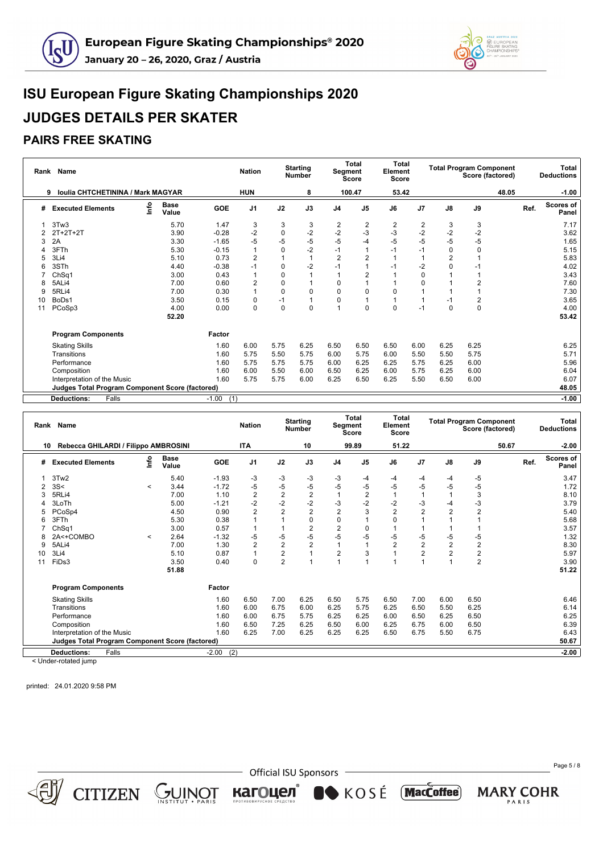



## **PAIRS FREE SKATING**

|    | Rank Name                                              |      |                      |                | <b>Nation</b>  |      | <b>Starting</b><br><b>Number</b> | Segment        | <b>Total</b><br><b>Score</b> | Total<br>Element<br><b>Score</b> |                |                | <b>Total Program Component</b><br>Score (factored) |       | <b>Total</b><br><b>Deductions</b> |
|----|--------------------------------------------------------|------|----------------------|----------------|----------------|------|----------------------------------|----------------|------------------------------|----------------------------------|----------------|----------------|----------------------------------------------------|-------|-----------------------------------|
| 9  | <b>Ioulia CHTCHETININA / Mark MAGYAR</b>               |      |                      |                | <b>HUN</b>     |      | 8                                |                | 100.47                       | 53.42                            |                |                |                                                    | 48.05 | $-1.00$                           |
| #  | <b>Executed Elements</b>                               | ١nfo | <b>Base</b><br>Value | GOE            | J <sub>1</sub> | J2   | J3                               | J <sub>4</sub> | J <sub>5</sub>               | J6                               | J <sub>7</sub> | J8             | J9                                                 | Ref.  | <b>Scores of</b><br>Panel         |
|    | 3Tw <sub>3</sub>                                       |      | 5.70                 | 1.47           | 3              | 3    | 3                                | 2              | 2                            | 2                                | 2              | 3              | 3                                                  |       | 7.17                              |
|    | $2T+2T+2T$                                             |      | 3.90                 | $-0.28$        | $-2$           | 0    | $-2$                             | $-2$           | $-3$                         | -3                               | $-2$           | $-2$           | $-2$                                               |       | 3.62                              |
| 3  | 2A                                                     |      | 3.30                 | $-1.65$        | $-5$           | -5   | $-5$                             | $-5$           | -4                           | $-5$                             | $-5$           | $-5$           | $-5$                                               |       | 1.65                              |
|    | 3FTh                                                   |      | 5.30                 | $-0.15$        |                | 0    | $-2$                             | $-1$           | 1                            | $-1$                             | $-1$           | 0              | $\mathbf 0$                                        |       | 5.15                              |
| 5  | 3Li4                                                   |      | 5.10                 | 0.73           | $\overline{2}$ |      | 1                                | $\overline{2}$ | $\overline{2}$               |                                  |                | $\overline{2}$ |                                                    |       | 5.83                              |
| 6  | 3STh                                                   |      | 4.40                 | $-0.38$        | -1             | 0    | $-2$                             | $-1$           | 1                            | $-1$                             | $-2$           | O              | $-1$                                               |       | 4.02                              |
|    | ChSq1                                                  |      | 3.00                 | 0.43           |                | 0    | $\overline{1}$                   |                | $\overline{2}$               |                                  | 0              |                |                                                    |       | 3.43                              |
| 8  | 5ALi4                                                  |      | 7.00                 | 0.60           | $\overline{2}$ | 0    |                                  | $\Omega$       | 1                            |                                  | $\Omega$       |                | $\overline{2}$                                     |       | 7.60                              |
| 9  | 5RLi4                                                  |      | 7.00                 | 0.30           |                | 0    | 0                                | 0              | 0                            | 0                                |                |                |                                                    |       | 7.30                              |
| 10 | BoDs1                                                  |      | 3.50                 | 0.15           | 0              | $-1$ | 1                                | 0              |                              |                                  |                | $-1$           | 2                                                  |       | 3.65                              |
| 11 | PCoSp3                                                 |      | 4.00                 | 0.00           | $\Omega$       | 0    | $\mathbf 0$                      | 1              | $\Omega$                     | $\Omega$                         | $-1$           | $\Omega$       | $\mathbf 0$                                        |       | 4.00                              |
|    |                                                        |      | 52.20                |                |                |      |                                  |                |                              |                                  |                |                |                                                    |       | 53.42                             |
|    | <b>Program Components</b>                              |      |                      | Factor         |                |      |                                  |                |                              |                                  |                |                |                                                    |       |                                   |
|    | <b>Skating Skills</b>                                  |      |                      | 1.60           | 6.00           | 5.75 | 6.25                             | 6.50           | 6.50                         | 6.50                             | 6.00           | 6.25           | 6.25                                               |       | 6.25                              |
|    | Transitions                                            |      |                      | 1.60           | 5.75           | 5.50 | 5.75                             | 6.00           | 5.75                         | 6.00                             | 5.50           | 5.50           | 5.75                                               |       | 5.71                              |
|    | Performance                                            |      |                      | 1.60           | 5.75           | 5.75 | 5.75                             | 6.00           | 6.25                         | 6.25                             | 5.75           | 6.25           | 6.00                                               |       | 5.96                              |
|    | Composition                                            |      |                      | 1.60           | 6.00           | 5.50 | 6.00                             | 6.50           | 6.25                         | 6.00                             | 5.75           | 6.25           | 6.00                                               |       | 6.04                              |
|    | Interpretation of the Music                            |      |                      | 1.60           | 5.75           | 5.75 | 6.00                             | 6.25           | 6.50                         | 6.25                             | 5.50           | 6.50           | 6.00                                               |       | 6.07                              |
|    | <b>Judges Total Program Component Score (factored)</b> |      |                      |                |                |      |                                  |                |                              |                                  |                |                |                                                    |       | 48.05                             |
|    | Falls<br><b>Deductions:</b>                            |      |                      | (1)<br>$-1.00$ |                |      |                                  |                |                              |                                  |                |                |                                                    |       | $-1.00$                           |

| Rank | Name                                                   |                          |                      |                | <b>Nation</b>  |                | <b>Starting</b><br><b>Number</b> |                | <b>Total</b><br><b>Segment</b><br><b>Score</b> | Total<br>Element<br><b>Score</b> |                |                | <b>Total Program Component</b><br>Score (factored) |      | <b>Total</b><br><b>Deductions</b> |
|------|--------------------------------------------------------|--------------------------|----------------------|----------------|----------------|----------------|----------------------------------|----------------|------------------------------------------------|----------------------------------|----------------|----------------|----------------------------------------------------|------|-----------------------------------|
| 10   | Rebecca GHILARDI / Filippo AMBROSINI                   |                          |                      |                | <b>ITA</b>     |                | 10                               |                | 99.89                                          | 51.22                            |                |                | 50.67                                              |      | $-2.00$                           |
| #    | <b>Executed Elements</b>                               | ۴o                       | <b>Base</b><br>Value | <b>GOE</b>     | J <sub>1</sub> | J2             | J3                               | J <sub>4</sub> | J <sub>5</sub>                                 | J6                               | J7             | J8             | J9                                                 | Ref. | <b>Scores of</b><br>Panel         |
|      | 3Tw2                                                   |                          | 5.40                 | $-1.93$        | -3             | -3             | -3                               | -3             | -4                                             | -4                               | -4             | -4             | -5                                                 |      | 3.47                              |
|      | 3S<                                                    | $\,<$                    | 3.44                 | $-1.72$        | $-5$           | -5             | $-5$                             | $-5$           | $-5$                                           | -5                               | -5             | -5             | $-5$                                               |      | 1.72                              |
|      | 5RLi4                                                  |                          | 7.00                 | 1.10           | $\overline{2}$ | $\frac{2}{2}$  | $\frac{2}{2}$                    |                | $\overline{c}$                                 |                                  |                |                | 3                                                  |      | 8.10                              |
|      | 3LoTh                                                  |                          | 5.00                 | $-1.21$        | $-2$           |                |                                  | $-3$           | $-2$                                           | $-2$                             | -3             | -4             | -3                                                 |      | 3.79                              |
|      | PCoSp4                                                 |                          | 4.50                 | 0.90           | $\overline{2}$ | $\overline{2}$ | $\overline{2}$                   | $\overline{2}$ | 3                                              | $\overline{2}$                   | $\overline{2}$ | $\overline{2}$ | $\overline{2}$                                     |      | 5.40                              |
|      | 3FTh                                                   |                          | 5.30                 | 0.38           |                |                | 0                                | 0              |                                                | $\Omega$                         |                |                |                                                    |      | 5.68                              |
|      | ChSq1                                                  |                          | 3.00                 | 0.57           |                |                | $\overline{2}$                   | $\overline{2}$ | $\mathbf 0$                                    |                                  |                |                |                                                    |      | 3.57                              |
|      | 2A<+COMBO                                              | $\overline{\phantom{a}}$ | 2.64                 | $-1.32$        | $-5$           | -5             | $-5$                             | $-5$           | $-5$                                           | -5                               | -5             | -5             | -5                                                 |      | 1.32                              |
|      | 5ALi4                                                  |                          | 7.00                 | 1.30           | $\overline{2}$ | $\overline{c}$ | $\overline{2}$                   |                |                                                | $\overline{2}$                   | $\overline{2}$ | $\overline{2}$ | $\overline{2}$                                     |      | 8.30                              |
| 10   | 3Li4                                                   |                          | 5.10                 | 0.87           |                | 2              | 1                                | $\overline{2}$ | 3                                              |                                  | $\overline{2}$ | $\overline{2}$ | $\overline{2}$                                     |      | 5.97                              |
| 11   | FiDs3                                                  |                          | 3.50                 | 0.40           | $\Omega$       | $\overline{2}$ | 1                                |                |                                                |                                  |                |                | $\overline{2}$                                     |      | 3.90                              |
|      |                                                        |                          | 51.88                |                |                |                |                                  |                |                                                |                                  |                |                |                                                    |      | 51.22                             |
|      | <b>Program Components</b>                              |                          |                      | Factor         |                |                |                                  |                |                                                |                                  |                |                |                                                    |      |                                   |
|      | <b>Skating Skills</b>                                  |                          |                      | 1.60           | 6.50           | 7.00           | 6.25                             | 6.50           | 5.75                                           | 6.50                             | 7.00           | 6.00           | 6.50                                               |      | 6.46                              |
|      | Transitions                                            |                          |                      | 1.60           | 6.00           | 6.75           | 6.00                             | 6.25           | 5.75                                           | 6.25                             | 6.50           | 5.50           | 6.25                                               |      | 6.14                              |
|      | Performance                                            |                          |                      | 1.60           | 6.00           | 6.75           | 5.75                             | 6.25           | 6.25                                           | 6.00                             | 6.50           | 6.25           | 6.50                                               |      | 6.25                              |
|      | Composition                                            |                          |                      | 1.60           | 6.50           | 7.25           | 6.25                             | 6.50           | 6.00                                           | 6.25                             | 6.75           | 6.00           | 6.50                                               |      | 6.39                              |
|      | Interpretation of the Music                            |                          |                      | 1.60           | 6.25           | 7.00           | 6.25                             | 6.25           | 6.25                                           | 6.50                             | 6.75           | 5.50           | 6.75                                               |      | 6.43                              |
|      | <b>Judges Total Program Component Score (factored)</b> |                          |                      |                |                |                |                                  |                |                                                |                                  |                |                |                                                    |      | 50.67                             |
|      | <b>Deductions:</b><br>Falls                            |                          |                      | (2)<br>$-2.00$ |                |                |                                  |                |                                                |                                  |                |                |                                                    |      | $-2.00$                           |

< Under-rotated jump

printed: 24.01.2020 9:58 PM

 $CITIZEN \simeq \bigcup_{\text{NSTITUT}} \text{NISTITUT}$ 



KOSÉ MacCoffee

кагоцел®

Page 5 / 8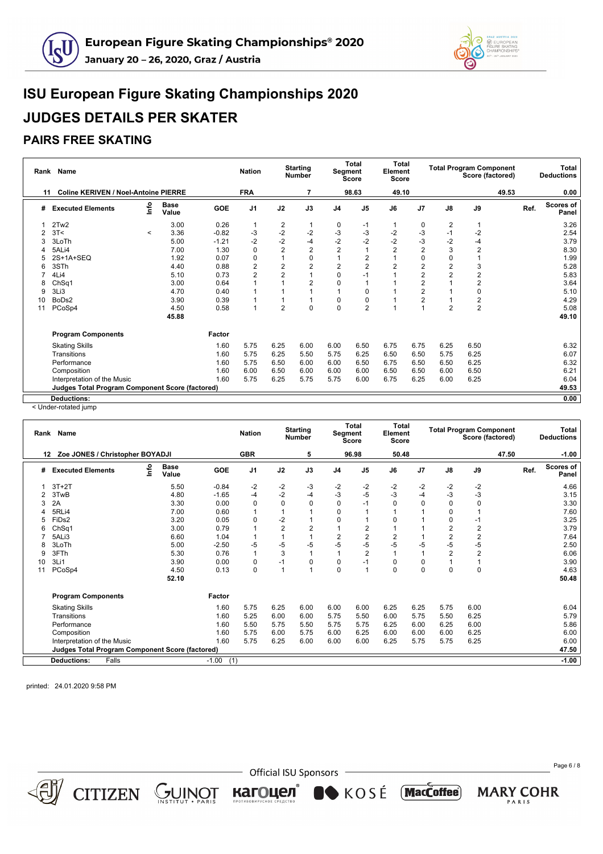



### **PAIRS FREE SKATING**

|    | Rank Name                                              |         |                      |            | <b>Nation</b>  |                         | <b>Starting</b><br><b>Number</b> | Segment        | <b>Total</b><br><b>Score</b> | Total<br>Element<br><b>Score</b> |                |                | <b>Total Program Component</b><br>Score (factored) |      | Total<br><b>Deductions</b> |
|----|--------------------------------------------------------|---------|----------------------|------------|----------------|-------------------------|----------------------------------|----------------|------------------------------|----------------------------------|----------------|----------------|----------------------------------------------------|------|----------------------------|
| 11 | <b>Coline KERIVEN / Noel-Antoine PIERRE</b>            |         |                      |            | <b>FRA</b>     |                         | 7                                |                | 98.63                        | 49.10                            |                |                | 49.53                                              |      | 0.00                       |
| #  | <b>Executed Elements</b>                               | lnfo    | <b>Base</b><br>Value | <b>GOE</b> | J <sub>1</sub> | J2                      | J3                               | J <sub>4</sub> | J <sub>5</sub>               | J6                               | J <sub>7</sub> | J8             | J9                                                 | Ref. | <b>Scores of</b><br>Panel  |
| 1  | 2Tw2                                                   |         | 3.00                 | 0.26       | 1              | 2                       | $\mathbf 1$                      | 0              | $-1$                         |                                  | 0              | $\overline{2}$ | 1                                                  |      | 3.26                       |
|    | 3T<                                                    | $\prec$ | 3.36                 | $-0.82$    | $-3$           | $-2$                    | $-2$                             | $-3$           | $-3$                         | $-2$                             | $-3$           | $-1$           | $-2$                                               |      | 2.54                       |
| 3  | 3LoTh                                                  |         | 5.00                 | $-1.21$    | $-2$           | $-2$                    | $-4$                             | $-2$           | $-2$                         | $-2$                             | $-3$           | $-2$           | -4                                                 |      | 3.79                       |
| 4  | 5ALi4                                                  |         | 7.00                 | 1.30       | 0              | $\overline{2}$          | $\overline{\mathbf{c}}$          | $\overline{2}$ |                              | $\overline{2}$                   | 2              | 3              | $\overline{2}$                                     |      | 8.30                       |
| 5  | 2S+1A+SEQ                                              |         | 1.92                 | 0.07       | 0              |                         | 0                                |                | $\overline{2}$               |                                  | 0              | $\mathbf 0$    |                                                    |      | 1.99                       |
| 6  | 3STh                                                   |         | 4.40                 | 0.88       | 2              | $\overline{\mathbf{c}}$ | $\overline{2}$                   | $\overline{2}$ | $\overline{2}$               | $\overline{2}$                   | 2              | $\overline{2}$ | 3                                                  |      | 5.28                       |
|    | 4Li4                                                   |         | 5.10                 | 0.73       | $\overline{2}$ | $\overline{2}$          |                                  | $\mathbf 0$    | $-1$                         |                                  | 2              | $\overline{2}$ | $\overline{2}$                                     |      | 5.83                       |
| 8  | ChSq1                                                  |         | 3.00                 | 0.64       |                |                         | 2                                | $\mathbf 0$    |                              |                                  | 2              |                | $\overline{2}$                                     |      | 3.64                       |
| 9  | 3Li3                                                   |         | 4.70                 | 0.40       |                |                         |                                  |                | 0                            |                                  | $\overline{2}$ |                | $\Omega$                                           |      | 5.10                       |
| 10 | BoDs2                                                  |         | 3.90                 | 0.39       |                |                         |                                  | $\mathbf 0$    | 0                            |                                  | 2              |                | 2                                                  |      | 4.29                       |
| 11 | PCoSp4                                                 |         | 4.50                 | 0.58       |                | $\overline{2}$          | $\mathbf 0$                      | $\mathbf 0$    | 2                            |                                  |                | $\overline{2}$ | $\overline{2}$                                     |      | 5.08                       |
|    |                                                        |         | 45.88                |            |                |                         |                                  |                |                              |                                  |                |                |                                                    |      | 49.10                      |
|    | <b>Program Components</b>                              |         |                      | Factor     |                |                         |                                  |                |                              |                                  |                |                |                                                    |      |                            |
|    | <b>Skating Skills</b>                                  |         |                      | 1.60       | 5.75           | 6.25                    | 6.00                             | 6.00           | 6.50                         | 6.75                             | 6.75           | 6.25           | 6.50                                               |      | 6.32                       |
|    | Transitions                                            |         |                      | 1.60       | 5.75           | 6.25                    | 5.50                             | 5.75           | 6.25                         | 6.50                             | 6.50           | 5.75           | 6.25                                               |      | 6.07                       |
|    | Performance                                            |         |                      | 1.60       | 5.75           | 6.50                    | 6.00                             | 6.00           | 6.50                         | 6.75                             | 6.50           | 6.50           | 6.25                                               |      | 6.32                       |
|    | Composition                                            |         |                      | 1.60       | 6.00           | 6.50                    | 6.00                             | 6.00           | 6.00                         | 6.50                             | 6.50           | 6.00           | 6.50                                               |      | 6.21                       |
|    | Interpretation of the Music                            |         |                      | 1.60       | 5.75           | 6.25                    | 5.75                             | 5.75           | 6.00                         | 6.75                             | 6.25           | 6.00           | 6.25                                               |      | 6.04                       |
|    | <b>Judges Total Program Component Score (factored)</b> |         |                      |            |                |                         |                                  |                |                              |                                  |                |                |                                                    |      | 49.53                      |
|    | <b>Deductions:</b>                                     |         |                      |            |                |                         |                                  |                |                              |                                  |                |                |                                                    |      | 0.00                       |

< Under-rotated jump

|    | Rank Name                                              |    |                      |                | <b>Nation</b>  |                | <b>Starting</b><br><b>Number</b> |                | <b>Total</b><br><b>Segment</b><br><b>Score</b> | <b>Total</b><br>Element<br>Score |                |                | <b>Total Program Component</b><br>Score (factored) |      | Total<br><b>Deductions</b> |
|----|--------------------------------------------------------|----|----------------------|----------------|----------------|----------------|----------------------------------|----------------|------------------------------------------------|----------------------------------|----------------|----------------|----------------------------------------------------|------|----------------------------|
| 12 | Zoe JONES / Christopher BOYADJI                        |    |                      |                | <b>GBR</b>     |                | 5                                |                | 96.98                                          | 50.48                            |                |                | 47.50                                              |      | $-1.00$                    |
| #  | <b>Executed Elements</b>                               | ۴o | <b>Base</b><br>Value | <b>GOE</b>     | J <sub>1</sub> | J2             | J3                               | J <sub>4</sub> | J <sub>5</sub>                                 | J6                               | J <sub>7</sub> | J8             | J9                                                 | Ref. | Scores of<br>Panel         |
|    | $3T+2T$                                                |    | 5.50                 | $-0.84$        | $-2$           | -2             | -3                               | $-2$           | -2                                             | $-2$                             | $-2$           | $-2$           | $-2$                                               |      | 4.66                       |
|    | 3TwB                                                   |    | 4.80                 | $-1.65$        | $-4$           | $-2$           | $-4$                             | $-3$           | $-5$                                           | $-3$                             | $-4$           | $-3$           | $-3$                                               |      | 3.15                       |
| 3  | 2A                                                     |    | 3.30                 | 0.00           | $\Omega$       | $\Omega$       | $\Omega$                         | $\mathbf 0$    | $-1$                                           | $\Omega$                         | $\Omega$       | $\Omega$       | $\mathbf 0$                                        |      | 3.30                       |
|    | 5RLi4                                                  |    | 7.00                 | 0.60           |                |                |                                  | 0              |                                                |                                  |                |                |                                                    |      | 7.60                       |
|    | FiD <sub>s2</sub>                                      |    | 3.20                 | 0.05           | $\Omega$       | $-2$           |                                  | 0              |                                                | $\Omega$                         |                |                | $-1$                                               |      | 3.25                       |
| 6  | ChSq1                                                  |    | 3.00                 | 0.79           |                | $\overline{2}$ | $\overline{2}$                   |                | $\overline{c}$                                 |                                  |                | $\overline{2}$ | $\overline{2}$                                     |      | 3.79                       |
|    | 5ALi3                                                  |    | 6.60                 | 1.04           |                |                |                                  | $\overline{2}$ | $\overline{2}$                                 | $\overline{2}$                   |                | $\overline{2}$ | $\overline{2}$                                     |      | 7.64                       |
| 8  | 3LoTh                                                  |    | 5.00                 | $-2.50$        | $-5$           | $-5$           | $-5$                             | $-5$           | $-5$                                           | $-5$                             | -5             | $-5$           | $-5$                                               |      | 2.50                       |
| 9  | 3FTh                                                   |    | 5.30                 | 0.76           |                | 3              | $\overline{ }$                   |                | $\overline{2}$                                 |                                  |                | $\overline{2}$ | $\overline{2}$                                     |      | 6.06                       |
| 10 | 3Li1                                                   |    | 3.90                 | 0.00           | 0              | $-1$           | 0                                | $\mathbf 0$    | $-1$                                           | $\mathbf 0$                      | 0              |                |                                                    |      | 3.90                       |
| 11 | PCoSp4                                                 |    | 4.50                 | 0.13           | $\Omega$       |                | $\overline{ }$                   | $\mathbf 0$    | $\overline{ }$                                 | $\Omega$                         | $\Omega$       | $\Omega$       | $\mathbf 0$                                        |      | 4.63                       |
|    |                                                        |    | 52.10                |                |                |                |                                  |                |                                                |                                  |                |                |                                                    |      | 50.48                      |
|    | <b>Program Components</b>                              |    |                      | Factor         |                |                |                                  |                |                                                |                                  |                |                |                                                    |      |                            |
|    | <b>Skating Skills</b>                                  |    |                      | 1.60           | 5.75           | 6.25           | 6.00                             | 6.00           | 6.00                                           | 6.25                             | 6.25           | 5.75           | 6.00                                               |      | 6.04                       |
|    | Transitions                                            |    |                      | 1.60           | 5.25           | 6.00           | 6.00                             | 5.75           | 5.50                                           | 6.00                             | 5.75           | 5.50           | 6.25                                               |      | 5.79                       |
|    | Performance                                            |    |                      | 1.60           | 5.50           | 5.75           | 5.50                             | 5.75           | 5.75                                           | 6.25                             | 6.00           | 6.25           | 6.00                                               |      | 5.86                       |
|    | Composition                                            |    |                      | 1.60           | 5.75           | 6.00           | 5.75                             | 6.00           | 6.25                                           | 6.00                             | 6.00           | 6.00           | 6.25                                               |      | 6.00                       |
|    | Interpretation of the Music                            |    |                      | 1.60           | 5.75           | 6.25           | 6.00                             | 6.00           | 6.00                                           | 6.25                             | 5.75           | 5.75           | 6.25                                               |      | 6.00                       |
|    | <b>Judges Total Program Component Score (factored)</b> |    |                      |                |                |                |                                  |                |                                                |                                  |                |                |                                                    |      | 47.50                      |
|    | <b>Deductions:</b><br>Falls                            |    |                      | (1)<br>$-1.00$ |                |                |                                  |                |                                                |                                  |                |                |                                                    |      | $-1.00$                    |
|    |                                                        |    |                      |                |                |                |                                  |                |                                                |                                  |                |                |                                                    |      |                            |

printed: 24.01.2020 9:58 PM

 $CITIZEN$   $GUNOT$ 

- Official ISU Sponsors -

KOSÉ MacCoffee)

кагоцел®

Page 6 / 8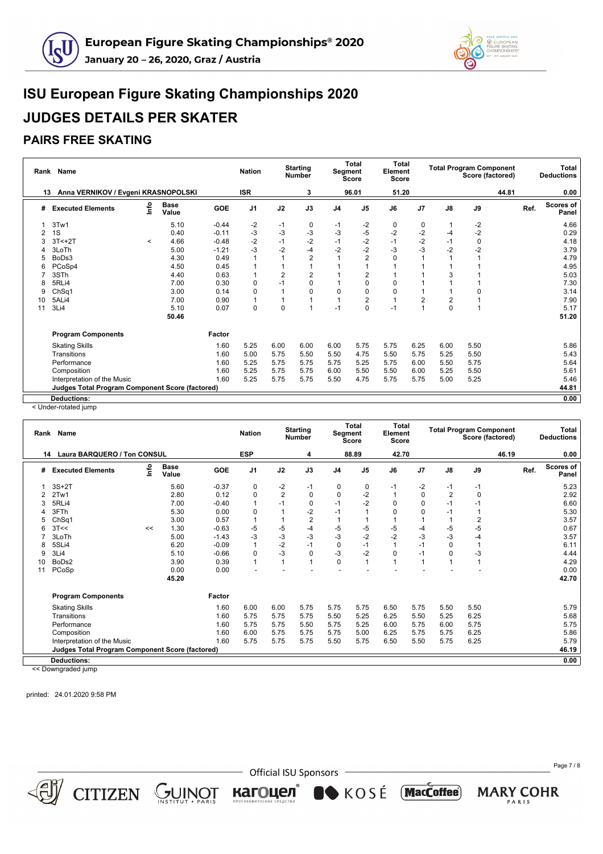



### **PAIRS FREE SKATING**

|    | Rank Name                                       |         |                      |            | <b>Nation</b>  |                | <b>Starting</b><br><b>Number</b> | <b>Segment</b> | Total<br>Score | <b>Total</b><br>Element<br><b>Score</b> |                |          | <b>Total Program Component</b><br>Score (factored) |      | <b>Total</b><br><b>Deductions</b> |
|----|-------------------------------------------------|---------|----------------------|------------|----------------|----------------|----------------------------------|----------------|----------------|-----------------------------------------|----------------|----------|----------------------------------------------------|------|-----------------------------------|
| 13 | Anna VERNIKOV / Evgeni KRASNOPOLSKI             |         |                      |            | <b>ISR</b>     |                | 3                                |                | 96.01          | 51.20                                   |                |          | 44.81                                              |      | 0.00                              |
| #  | <b>Executed Elements</b>                        | ۴ů      | <b>Base</b><br>Value | <b>GOE</b> | J <sub>1</sub> | J2             | J3                               | J <sub>4</sub> | J <sub>5</sub> | J6                                      | J <sub>7</sub> | J8       | J9                                                 | Ref. | <b>Scores of</b><br>Panel         |
| 1  | 3Tw1                                            |         | 5.10                 | $-0.44$    | $-2$           | $-1$           | 0                                | $-1$           | $-2$           | 0                                       | 0              |          | $-2$                                               |      | 4.66                              |
| 2  | 1S                                              |         | 0.40                 | $-0.11$    | $-3$           | $-3$           | $-3$                             | $-3$           | $-5$           | $-2$                                    | $-2$           | $-4$     | $-2$                                               |      | 0.29                              |
| 3  | $3T < +2T$                                      | $\prec$ | 4.66                 | $-0.48$    | $-2$           | $-1$           | $-2$                             | $-1$           | $-2$           | $-1$                                    | $-2$           | $-1$     | 0                                                  |      | 4.18                              |
| 4  | 3LoTh                                           |         | 5.00                 | $-1.21$    | $-3$           | $-2$           | $-4$                             | $-2$           | $-2$           | $-3$                                    | $-3$           | $-2$     | $-2$                                               |      | 3.79                              |
| 5  | BoDs3                                           |         | 4.30                 | 0.49       |                |                | $\overline{2}$                   |                | $\overline{2}$ | $\mathbf 0$                             |                |          |                                                    |      | 4.79                              |
| 6  | PCoSp4                                          |         | 4.50                 | 0.45       |                |                |                                  |                |                |                                         |                |          |                                                    |      | 4.95                              |
|    | 3STh                                            |         | 4.40                 | 0.63       |                | $\overline{2}$ | 2                                |                | 2              |                                         |                | 3        |                                                    |      | 5.03                              |
| 8  | 5RLi4                                           |         | 7.00                 | 0.30       | 0              | $-1$           | 0                                |                | 0              | 0                                       |                |          |                                                    |      | 7.30                              |
| 9  | Ch <sub>Sq1</sub>                               |         | 3.00                 | 0.14       | 0              |                | 0                                | $\Omega$       | $\Omega$       | $\Omega$                                |                |          | O                                                  |      | 3.14                              |
| 10 | 5ALi4                                           |         | 7.00                 | 0.90       |                |                |                                  |                | $\overline{2}$ |                                         | 2              | 2        |                                                    |      | 7.90                              |
| 11 | 3Li4                                            |         | 5.10                 | 0.07       | 0              | $\Omega$       |                                  | $-1$           | $\Omega$       | $-1$                                    |                | $\Omega$ |                                                    |      | 5.17                              |
|    |                                                 |         | 50.46                |            |                |                |                                  |                |                |                                         |                |          |                                                    |      | 51.20                             |
|    | <b>Program Components</b>                       |         |                      | Factor     |                |                |                                  |                |                |                                         |                |          |                                                    |      |                                   |
|    | <b>Skating Skills</b>                           |         |                      | 1.60       | 5.25           | 6.00           | 6.00                             | 6.00           | 5.75           | 5.75                                    | 6.25           | 6.00     | 5.50                                               |      | 5.86                              |
|    | Transitions                                     |         |                      | 1.60       | 5.00           | 5.75           | 5.50                             | 5.50           | 4.75           | 5.50                                    | 5.75           | 5.25     | 5.50                                               |      | 5.43                              |
|    | Performance                                     |         |                      | 1.60       | 5.25           | 5.75           | 5.75                             | 5.75           | 5.25           | 5.75                                    | 6.00           | 5.50     | 5.75                                               |      | 5.64                              |
|    | Composition                                     |         |                      | 1.60       | 5.25           | 5.75           | 5.75                             | 6.00           | 5.50           | 5.50                                    | 6.00           | 5.25     | 5.50                                               |      | 5.61                              |
|    | Interpretation of the Music                     |         |                      | 1.60       | 5.25           | 5.75           | 5.75                             | 5.50           | 4.75           | 5.75                                    | 5.75           | 5.00     | 5.25                                               |      | 5.46                              |
|    | Judges Total Program Component Score (factored) |         |                      |            |                |                |                                  |                |                |                                         |                |          |                                                    |      | 44.81                             |
|    | <b>Deductions:</b>                              |         |                      |            |                |                |                                  |                |                |                                         |                |          |                                                    |      | 0.00                              |

< Under-rotated jump

|    | Rank Name                                              |      |                      |            | <b>Nation</b>  |                | <b>Starting</b><br><b>Number</b> | <b>Segment</b> | <b>Total</b><br><b>Score</b> | <b>Total</b><br>Element<br><b>Score</b> |                |      | <b>Total Program Component</b><br>Score (factored) |      | Total<br><b>Deductions</b> |
|----|--------------------------------------------------------|------|----------------------|------------|----------------|----------------|----------------------------------|----------------|------------------------------|-----------------------------------------|----------------|------|----------------------------------------------------|------|----------------------------|
| 14 | Laura BARQUERO / Ton CONSUL                            |      |                      |            | <b>ESP</b>     |                | 4                                |                | 88.89                        | 42.70                                   |                |      | 46.19                                              |      | 0.00                       |
| #  | <b>Executed Elements</b>                               | ١nfo | <b>Base</b><br>Value | <b>GOE</b> | J <sub>1</sub> | J2             | J3                               | J <sub>4</sub> | J <sub>5</sub>               | J6                                      | J <sub>7</sub> | J8   | J9                                                 | Ref. | <b>Scores of</b><br>Panel  |
|    | $3S+2T$                                                |      | 5.60                 | $-0.37$    | $\Omega$       | -2             | $-1$                             | 0              | 0                            | -1                                      | -2             | -1   | $-1$                                               |      | 5.23                       |
|    | 2Tw1                                                   |      | 2.80                 | 0.12       | O              | $\overline{c}$ | 0                                | 0              | $-2$                         |                                         | 0              | 2    | $\Omega$                                           |      | 2.92                       |
| 3  | 5RLi4                                                  |      | 7.00                 | $-0.40$    |                | $-1$           | 0                                | $-1$           | $-2$                         | $\mathbf 0$                             | $\Omega$       | $-1$ | -1                                                 |      | 6.60                       |
|    | 3FTh                                                   |      | 5.30                 | 0.00       | O              |                | $-2$                             | $-1$           |                              | 0                                       | $\Omega$       | -1   |                                                    |      | 5.30                       |
| 5  | ChSq1                                                  |      | 3.00                 | 0.57       |                |                | $\overline{c}$                   |                |                              |                                         |                |      | 2                                                  |      | 3.57                       |
|    | 3T <                                                   | <<   | 1.30                 | $-0.63$    | -5             | -5             | -4                               | -5             | $-5$                         | -5                                      | -4             | $-5$ | $-5$                                               |      | 0.67                       |
|    | 3LoTh                                                  |      | 5.00                 | $-1.43$    | -3             | $-3$           | $-3$                             | $-3$           | $-2$                         | $-2$                                    | $-3$           | $-3$ | -4                                                 |      | 3.57                       |
| 8  | 5SLi4                                                  |      | 6.20                 | $-0.09$    |                | $-2$           | $-1$                             | $\mathbf 0$    | $-1$                         |                                         | $-1$           | O    |                                                    |      | 6.11                       |
| 9  | 3Li4                                                   |      | 5.10                 | $-0.66$    | O              | $-3$           | 0                                | $-3$           | $-2$                         | $\Omega$                                | $-1$           |      | $-3$                                               |      | 4.44                       |
| 10 | BoDs2                                                  |      | 3.90                 | 0.39       |                |                | 1                                | $\Omega$       | 1                            |                                         |                |      |                                                    |      | 4.29                       |
| 11 | PCoSp                                                  |      | 0.00                 | 0.00       |                |                |                                  |                |                              |                                         |                |      |                                                    |      | 0.00                       |
|    |                                                        |      | 45.20                |            |                |                |                                  |                |                              |                                         |                |      |                                                    |      | 42.70                      |
|    | <b>Program Components</b>                              |      |                      | Factor     |                |                |                                  |                |                              |                                         |                |      |                                                    |      |                            |
|    | <b>Skating Skills</b>                                  |      |                      | 1.60       | 6.00           | 6.00           | 5.75                             | 5.75           | 5.75                         | 6.50                                    | 5.75           | 5.50 | 5.50                                               |      | 5.79                       |
|    | Transitions                                            |      |                      | 1.60       | 5.75           | 5.75           | 5.75                             | 5.50           | 5.25                         | 6.25                                    | 5.50           | 5.25 | 6.25                                               |      | 5.68                       |
|    | Performance                                            |      |                      | 1.60       | 5.75           | 5.75           | 5.50                             | 5.75           | 5.25                         | 6.00                                    | 5.75           | 6.00 | 5.75                                               |      | 5.75                       |
|    | Composition                                            |      |                      | 1.60       | 6.00           | 5.75           | 5.75                             | 5.75           | 5.00                         | 6.25                                    | 5.75           | 5.75 | 6.25                                               |      | 5.86                       |
|    | Interpretation of the Music                            |      |                      | 1.60       | 5.75           | 5.75           | 5.75                             | 5.50           | 5.75                         | 6.50                                    | 5.50           | 5.75 | 6.25                                               |      | 5.79                       |
|    | <b>Judges Total Program Component Score (factored)</b> |      |                      |            |                |                |                                  |                |                              |                                         |                |      |                                                    |      | 46.19                      |
|    | <b>Deductions:</b>                                     |      |                      |            |                |                |                                  |                |                              |                                         |                |      |                                                    |      | 0.00                       |
|    |                                                        |      |                      |            |                |                |                                  |                |                              |                                         |                |      |                                                    |      |                            |

<< Downgraded jump

printed: 24.01.2020 9:58 PM

 $CITIZEN \underset{\text{INSTITUT PARS}}{\bigcirc} \underset{\text{INSTITUT PARS}}{\text{MINOT}}$ 



- Official ISU Sponsors -

KOSÉ MacCoffee)

кагоцел®

Page 7 / 8